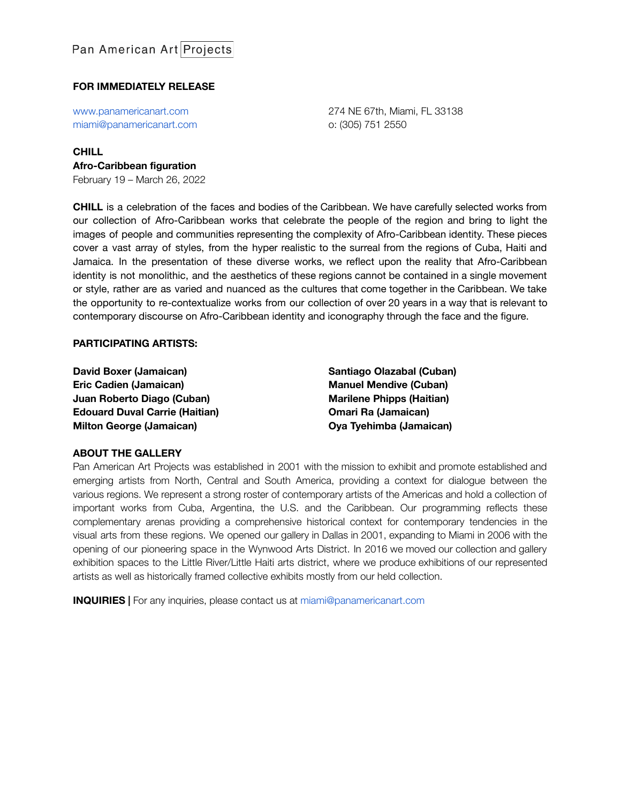## **FOR IMMEDIATELY RELEASE**

[www.panamericanart.com](http://www.panamericanart.com) [miami@panamericanart.com](mailto:miami@panamericanart.com) 274 NE 67th, Miami, FL 33138 o: (305) 751 2550

#### **CHILL Afro-Caribbean figuration**

February 19 – March 26, 2022

**CHILL** is a celebration of the faces and bodies of the Caribbean. We have carefully selected works from our collection of Afro-Caribbean works that celebrate the people of the region and bring to light the images of people and communities representing the complexity of Afro-Caribbean identity. These pieces cover a vast array of styles, from the hyper realistic to the surreal from the regions of Cuba, Haiti and Jamaica. In the presentation of these diverse works, we reflect upon the reality that Afro-Caribbean identity is not monolithic, and the aesthetics of these regions cannot be contained in a single movement or style, rather are as varied and nuanced as the cultures that come together in the Caribbean. We take the opportunity to re-contextualize works from our collection of over 20 years in a way that is relevant to contemporary discourse on Afro-Caribbean identity and iconography through the face and the figure.

#### **PARTICIPATING ARTISTS:**

**David Boxer (Jamaican) Eric Cadien (Jamaican) Juan Roberto Diago (Cuban) Edouard Duval Carrie (Haitian) Milton George (Jamaican)**

**Santiago Olazabal (Cuban) Manuel Mendive (Cuban) Marilene Phipps (Haitian) Omari Ra (Jamaican) Oya Tyehimba (Jamaican)**

### **ABOUT THE GALLERY**

Pan American Art Projects was established in 2001 with the mission to exhibit and promote established and emerging artists from North, Central and South America, providing a context for dialogue between the various regions. We represent a strong roster of contemporary artists of the Americas and hold a collection of important works from Cuba, Argentina, the U.S. and the Caribbean. Our programming reflects these complementary arenas providing a comprehensive historical context for contemporary tendencies in the visual arts from these regions. We opened our gallery in Dallas in 2001, expanding to Miami in 2006 with the opening of our pioneering space in the Wynwood Arts District. In 2016 we moved our collection and gallery exhibition spaces to the Little River/Little Haiti arts district, where we produce exhibitions of our represented artists as well as historically framed collective exhibits mostly from our held collection.

**INQUIRIES |** For any inquiries, please contact us at [miami@panamericanart.com](mailto:miami@panamericanart.com)